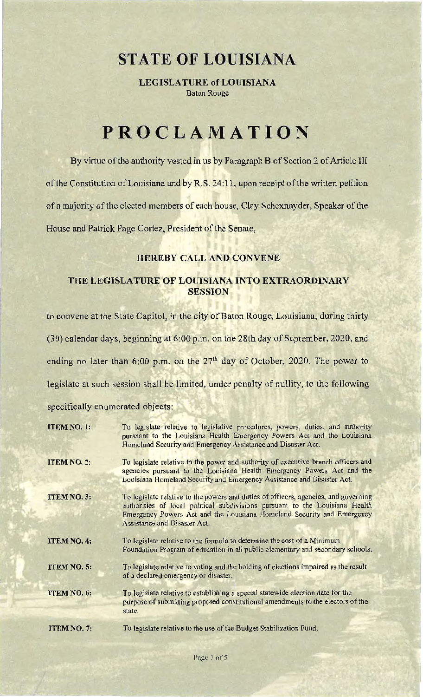## **STATE OF LOUISIANA**

LEGISLATURE of LOUISIANA Baton Rouge

## **PROCLAMATION**

By virtue of the authority vested in us by Paragraph B of Section 2 of Article III of the Constitution of Louisiana and by R.S. 24:11, upon receipt of the written petition of a majority of the elected members of each house, Clay Schexnayder, Speaker of the House and Patrick Page Cortez, President of the Senate,

## HEREBY CALL AND CONVENE

## THE LEGISLATURE OF LOUISIANA INTO EXTRAORDINARY **SESSION**

to convene at the State Capitol, in the city of Baton Rouge, Louisiana, during thirty

(30) calendar days, beginning at 6:00 p.m. on the 28th day of September, 2020, and

ending no later than  $6:00$  p.m. on the  $27<sup>th</sup>$  day of October, 2020. The power to

legislate at such session shall be limited, under penalty of nullity, to the following

specifically enumerated objects:

| <b>ITEM NO. 1:</b> | To legislate relative to legislative procedures, powers, duties, and authority<br>pursuant to the Louisiana Health Emergency Powers Act and the Louisiana<br>Homeland Security and Emergency Assistance and Disaster Act.                                                     |
|--------------------|-------------------------------------------------------------------------------------------------------------------------------------------------------------------------------------------------------------------------------------------------------------------------------|
| <b>ITEM NO. 2:</b> | To legislate relative to the power and authority of executive branch officers and<br>agencies pursuant to the Louisiana Health Emergency Powers Act and the<br>Louisiana Homeland Security and Emergency Assistance and Disaster Act.                                         |
| <b>ITEM NO. 3:</b> | To legislate relative to the powers and duties of officers, agencies, and governing<br>authorities of local political subdivisions pursuant to the Louisiana Health<br>Emergency Powers Act and the Louisiana Homeland Security and Emergency<br>Assistance and Disaster Act. |
| <b>ITEM NO. 4:</b> | To legislate relative to the formula to determine the cost of a Minimum<br>Foundation Program of education in all public elementary and secondary schools.                                                                                                                    |
| <b>ITEM NO. 5:</b> | To legislate relative to voting and the holding of elections impaired as the result<br>of a declared emergency or disaster.                                                                                                                                                   |
| <b>ITEM NO. 6:</b> | To legislate relative to establishing a special statewide election date for the<br>purpose of submitting proposed constitutional amendments to the electors of the<br>state.                                                                                                  |
| ITEM NO. 7:        | To legislate relative to the use of the Budget Stabilization Fund.                                                                                                                                                                                                            |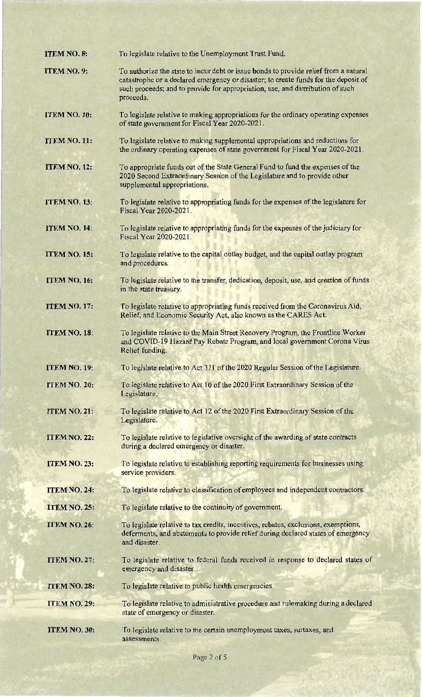| <b>ITEM NO. 8:</b>  | To legislate relative to the Unemployment Trust Fund.                                                                                                                                                                                                                      |
|---------------------|----------------------------------------------------------------------------------------------------------------------------------------------------------------------------------------------------------------------------------------------------------------------------|
| <b>ITEM NO. 9:</b>  | To authorize the state to incur debt or issue bonds to provide relief from a natural<br>catastrophe or a declared emergency or disaster; to create funds for the deposit of<br>such proceeds; and to provide for appropriation, use, and distribution of such<br>proceeds. |
| <b>ITEM NO. 10:</b> | To legislate relative to making appropriations for the ordinary operating expenses<br>of state government for Fiscal Year 2020-2021.                                                                                                                                       |
| <b>ITEM NO. 11:</b> | To legislate relative to making supplemental appropriations and reductions for<br>the ordinary operating expenses of state government for Fiscal Year 2020-2021.                                                                                                           |
| <b>ITEM NO. 12:</b> | To appropriate funds out of the State General Fund to fund the expenses of the<br>2020 Second Extraordinary Session of the Legislature and to provide other<br>supplemental appropriations.                                                                                |
| <b>ITEM NO. 13:</b> | To legislate relative to appropriating funds for the expenses of the legislature for<br>Fiscal Year 2020-2021.                                                                                                                                                             |
| <b>ITEM NO. 14:</b> | To legislate relative to appropriating funds for the expenses of the judiciary for<br>Fiscal Year 2020-2021.                                                                                                                                                               |
| <b>ITEM NO. 15:</b> | To legislate relative to the capital outlay budget, and the capital outlay program<br>and procedures.                                                                                                                                                                      |
| <b>ITEM NO. 16:</b> | To legislate relative to the transfer, dedication, deposit, use, and creation of funds<br>in the state treasury.                                                                                                                                                           |
| <b>ITEM NO. 17:</b> | To legislate relative to appropriating funds received from the Coronavirus Aid,<br>Relief, and Economic Security Act, also known as the CARES Act.                                                                                                                         |
| ITEM NO. 18:        | To legislate relative to the Main Street Recovery Program, the Frontline Worker<br>and COVID-19 Hazard Pay Rebate Program, and local government Corona Virus<br>Relief funding.                                                                                            |
| <b>ITEM NO. 19:</b> | To legislate relative to Act 311 of the 2020 Regular Session of the Legislature.                                                                                                                                                                                           |
| ITEM NO. 20:        | To legislate relative to Act 10 of the 2020 First Extraordinary Session of the<br>Legislature.                                                                                                                                                                             |
| <b>ITEM NO. 21:</b> | To legislate relative to Act 12 of the 2020 First Extraordinary Session of the<br>Legislature.                                                                                                                                                                             |
| <b>ITEM NO. 22:</b> | To legislate relative to legislative oversight of the awarding of state contracts<br>during a declared emergency or disaster.                                                                                                                                              |
| <b>ITEM NO. 23:</b> | To legislate relative to establishing reporting requirements for businesses using<br>service providers.                                                                                                                                                                    |
| <b>ITEM NO. 24:</b> | To legislate relative to classification of employees and independent contractors.                                                                                                                                                                                          |
| <b>ITEM NO. 25:</b> | To legislate relative to the continuity of government.                                                                                                                                                                                                                     |
| <b>ITEM NO. 26:</b> | To legislate relative to tax credits, incentives, rebates, exclusions, exemptions,<br>deferments, and abatements to provide relief during declared states of emergency<br>and disaster.                                                                                    |
| <b>ITEM NO. 27:</b> | To legislate relative to federal funds received in response to declared states of<br>emergency and disaster.                                                                                                                                                               |
| <b>ITEM NO. 28:</b> | To legislate relative to public health emergencies.                                                                                                                                                                                                                        |
| <b>ITEM NO. 29:</b> | To legislate relative to administrative procedure and rulemaking during a declared<br>state of emergency or disaster.                                                                                                                                                      |
| ITEM NO. 30:        | To legislate relative to the certain unemployment taxes, surtaxes, and<br>assessments.                                                                                                                                                                                     |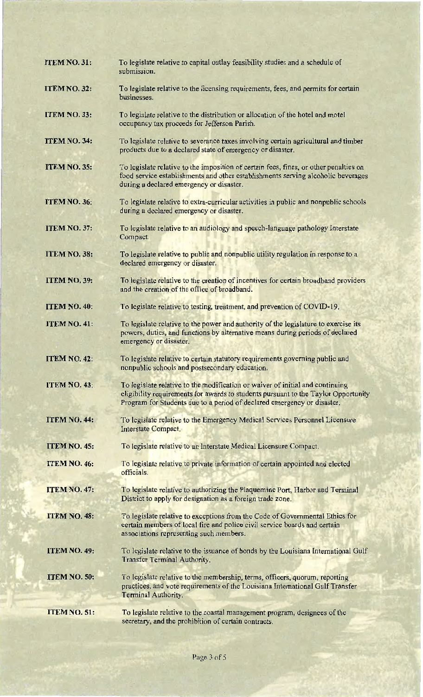| <b>ITEM NO. 31:</b> | To legislate relative to capital outlay feasibility studies and a schedule of<br>submission.                                                                                                                                                   |
|---------------------|------------------------------------------------------------------------------------------------------------------------------------------------------------------------------------------------------------------------------------------------|
| <b>ITEM NO. 32:</b> | To legislate relative to the licensing requirements, fees, and permits for certain<br>businesses.                                                                                                                                              |
| <b>ITEM NO. 33:</b> | To legislate relative to the distribution or allocation of the hotel and motel<br>occupancy tax proceeds for Jefferson Parish.                                                                                                                 |
| <b>ITEM NO. 34:</b> | To legislate relative to severance taxes involving certain agricultural and timber<br>products due to a declared state of emergency or disaster.                                                                                               |
| <b>ITEM NO. 35:</b> | To legislate relative to the imposition of certain fees, fines, or other penalties on<br>food service establishments and other establishments serving alcoholic beverages<br>during a declared emergency or disaster.                          |
| ITEM NO. 36:        | To legislate relative to extra-curricular activities in public and nonpublic schools<br>during a declared emergency or disaster.                                                                                                               |
| <b>ITEM NO. 37:</b> | To legislate relative to an audiology and speech-language pathology Interstate<br>Compact.                                                                                                                                                     |
| <b>ITEM NO. 38:</b> | To legislate relative to public and nonpublic utility regulation in response to a<br>declared emergency or disaster.                                                                                                                           |
| <b>ITEM NO. 39:</b> | To legislate relative to the creation of incentives for certain broadband providers<br>and the creation of the office of broadband.                                                                                                            |
| ITEM NO. 40:        | To legislate relative to testing, treatment, and prevention of COVID-19.                                                                                                                                                                       |
| <b>ITEM NO. 41:</b> | To legislate relative to the power and authority of the legislature to exercise its<br>powers, duties, and functions by alternative means during periods of declared<br>emergency or disaster.                                                 |
| <b>ITEM NO. 42:</b> | To legislate relative to certain statutory requirements governing public and<br>nonpublic schools and postsecondary education.                                                                                                                 |
| <b>ITEM NO. 43:</b> | To legislate relative to the modification or waiver of initial and continuing<br>eligibility requirements for awards to students pursuant to the Taylor Opportunity<br>Program for Students due to a period of declared emergency or disaster. |
| <b>ITEM NO. 44:</b> | To legislate relative to the Emergency Medical Services Personnel Licensure<br>Interstate Compact.                                                                                                                                             |
| <b>ITEM NO. 45:</b> | To legislate relative to an Interstate Medical Licensure Compact.                                                                                                                                                                              |
| <b>ITEM NO. 46:</b> | To legislate relative to private information of certain appointed and elected<br>officials.                                                                                                                                                    |
| <b>ITEM NO. 47:</b> | To legislate relative to authorizing the Plaquemine Port, Harbor and Terminal<br>District to apply for designation as a foreign trade zone.                                                                                                    |
| <b>ITEM NO. 48:</b> | To legislate relative to exceptions from the Code of Governmental Ethics for<br>certain members of local fire and police civil service boards and certain<br>associations representing such members.                                           |
| <b>ITEM NO. 49:</b> | To legislate relative to the issuance of bonds by the Louisiana International Gulf<br>Transfer Terminal Authority.                                                                                                                             |
| ITEM NO. 50:        | To legislate relative to the membership, terms, officers, quorum, reporting<br>practices, and vote requirements of the Louisiana International Gulf Transfer<br>Terminal Authority.                                                            |
| ITEM NO. 51:        | To legislate relative to the coastal management program, designees of the<br>secretary, and the prohibition of certain contracts.                                                                                                              |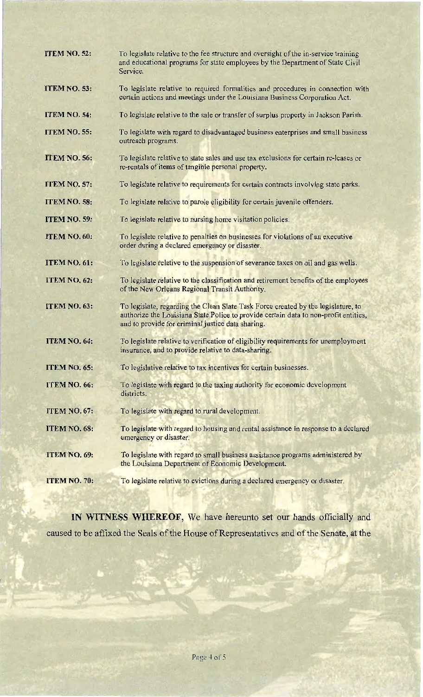| <b>ITEM NO. 52:</b> | To legislate relative to the fee structure and oversight of the in-service training<br>and educational programs for state employees by the Department of State Civil<br>Service.                                               |
|---------------------|--------------------------------------------------------------------------------------------------------------------------------------------------------------------------------------------------------------------------------|
| <b>ITEM NO. 53:</b> | To legislate relative to required formalities and procedures in connection with<br>certain actions and meetings under the Louisiana Business Corporation Act.                                                                  |
| ITEM NO. 54:        | To legislate relative to the sale or transfer of surplus property in Jackson Parish.                                                                                                                                           |
| <b>ITEM NO. 55:</b> | To legislate with regard to disadvantaged business enterprises and small business<br>outreach programs.                                                                                                                        |
| <b>ITEM NO. 56:</b> | To legislate relative to state sales and use tax exclusions for certain re-leases or<br>re-rentals of items of tangible personal property.                                                                                     |
| <b>ITEM NO. 57:</b> | To legislate relative to requirements for certain contracts involving state parks.                                                                                                                                             |
| ITEM NO. 58:        | To legislate relative to parole eligibility for certain juvenile offenders.                                                                                                                                                    |
| <b>ITEM NO. 59:</b> | To legislate relative to nursing home visitation policies.                                                                                                                                                                     |
| ITEM NO. 60:        | To legislate relative to penalties on businesses for violations of an executive<br>order during a declared emergency or disaster.                                                                                              |
| ITEM NO. 61:        | To legislate relative to the suspension of severance taxes on oil and gas wells.                                                                                                                                               |
| <b>ITEM NO. 62:</b> | To legislate relative to the classification and retirement benefits of the employees<br>of the New Orleans Regional Transit Authority.                                                                                         |
| <b>ITEM NO. 63:</b> | To legislate, regarding the Clean Slate Task Force created by the legislature, to<br>authorize the Louisiana State Police to provide certain data to non-profit entities,<br>and to provide for criminal justice data sharing. |
| <b>ITEM NO. 64:</b> | To legislate relative to verification of eligibility requirements for unemployment<br>insurance, and to provide relative to data-sharing.                                                                                      |
| <b>ITEM NO. 65:</b> | To legislative relative to tax incentives for certain businesses.                                                                                                                                                              |
| ITEM NO. 66:        | To legislate with regard to the taxing authority for economic development<br>districts.                                                                                                                                        |
| <b>ITEM NO. 67:</b> | To legislate with regard to rural development.                                                                                                                                                                                 |
| ITEM NO. 68:        | To legislate with regard to housing and rental assistance in response to a declared<br>emergency or disaster.                                                                                                                  |
| ITEM NO. 69:        | To legislate with regard to small business assistance programs administered by<br>the Louisiana Department of Economic Development.                                                                                            |
| ITEM NO. 70:        | To legislate relative to evictions during a declared emergency or disaster.                                                                                                                                                    |

IN WITNESS WHEREOF, We have hereunto set our hands officially and caused to be affixed the Seals of the House of Representatives and of the Senate, at the